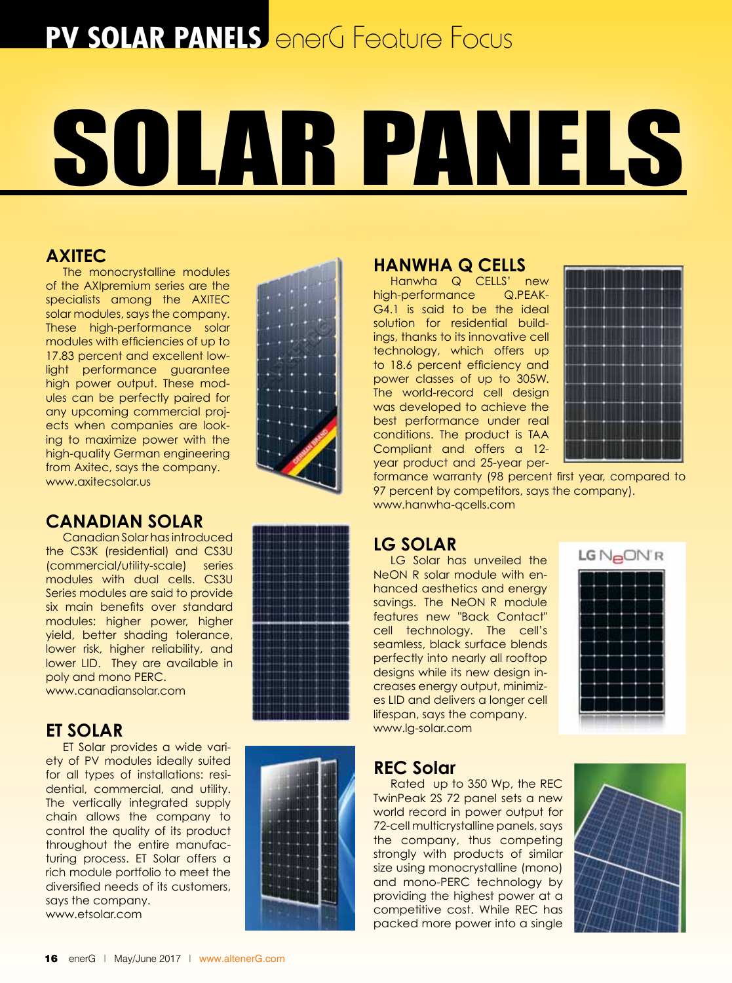## **PV SOLAR PANELS** enerG Feature Focus

# Solar Panels

## **AXITEC**

The monocrystalline modules of the AXIpremium series are the specialists among the AXITEC solar modules, says the company. These high-performance solar modules with efficiencies of up to 17.83 percent and excellent lowlight performance guarantee high power output. These modules can be perfectly paired for any upcoming commercial projects when companies are looking to maximize power with the high-quality German engineering from Axitec, says the company. www.axitecsolar.us

## **Canadian Solar**

Canadian Solar has introduced the CS3K (residential) and CS3U (commercial/utility-scale) series modules with dual cells. CS3U Series modules are said to provide six main benefits over standard modules: higher power, higher yield, better shading tolerance, lower risk, higher reliability, and lower LID. They are available in poly and mono PERC.

www.canadiansolar.com

## **ET Solar**

ET Solar provides a wide variety of PV modules ideally suited for all types of installations: residential, commercial, and utility. The vertically integrated supply chain allows the company to control the quality of its product throughout the entire manufacturing process. ET Solar offers a rich module portfolio to meet the diversified needs of its customers, says the company. www.etsolar.com



#### **Hanwha Q CELLS**

Hanwha Q CELLS' new high-performance Q.PEAK-G4.1 is said to be the ideal solution for residential buildings, thanks to its innovative cell technology, which offers up to 18.6 percent efficiency and power classes of up to 305W. The world-record cell design was developed to achieve the best performance under real conditions. The product is TAA Compliant and offers a 12 year product and 25-year per-



formance warranty (98 percent first year, compared to 97 percent by competitors, says the company). www.hanwha-qcells.com

## **LG solar**

LG Solar has unveiled the NeON R solar module with enhanced aesthetics and energy savings. The NeON R module features new "Back Contact" cell technology. The cell's seamless, black surface blends perfectly into nearly all rooftop designs while its new design increases energy output, minimizes LID and delivers a longer cell lifespan, says the company. www.lg-solar.com



## **REC Solar**

Rated up to 350 Wp, the REC TwinPeak 2S 72 panel sets a new world record in power output for 72-cell multicrystalline panels, says the company, thus competing strongly with products of similar size using monocrystalline (mono) and mono-PERC technology by providing the highest power at a competitive cost. While REC has packed more power into a single